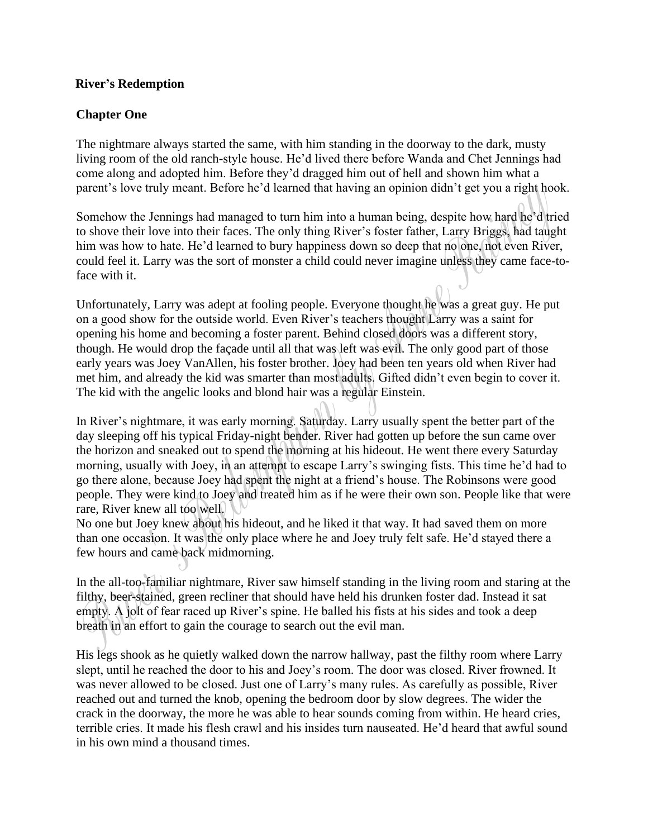## **River's Redemption**

## **Chapter One**

The nightmare always started the same, with him standing in the doorway to the dark, musty living room of the old ranch-style house. He'd lived there before Wanda and Chet Jennings had come along and adopted him. Before they'd dragged him out of hell and shown him what a parent's love truly meant. Before he'd learned that having an opinion didn't get you a right hook.

Somehow the Jennings had managed to turn him into a human being, despite how hard he'd tried to shove their love into their faces. The only thing River's foster father, Larry Briggs, had taught him was how to hate. He'd learned to bury happiness down so deep that no one, not even River, could feel it. Larry was the sort of monster a child could never imagine unless they came face-toface with it.

Unfortunately, Larry was adept at fooling people. Everyone thought he was a great guy. He put on a good show for the outside world. Even River's teachers thought Larry was a saint for opening his home and becoming a foster parent. Behind closed doors was a different story, though. He would drop the façade until all that was left was evil. The only good part of those early years was Joey VanAllen, his foster brother. Joey had been ten years old when River had met him, and already the kid was smarter than most adults. Gifted didn't even begin to cover it. The kid with the angelic looks and blond hair was a regular Einstein.

In River's nightmare, it was early morning. Saturday. Larry usually spent the better part of the day sleeping off his typical Friday-night bender. River had gotten up before the sun came over the horizon and sneaked out to spend the morning at his hideout. He went there every Saturday morning, usually with Joey, in an attempt to escape Larry's swinging fists. This time he'd had to go there alone, because Joey had spent the night at a friend's house. The Robinsons were good people. They were kind to Joey and treated him as if he were their own son. People like that were rare, River knew all too well.

No one but Joey knew about his hideout, and he liked it that way. It had saved them on more than one occasion. It was the only place where he and Joey truly felt safe. He'd stayed there a few hours and came back midmorning.

In the all-too-familiar nightmare, River saw himself standing in the living room and staring at the filthy, beer-stained, green recliner that should have held his drunken foster dad. Instead it sat empty. A jolt of fear raced up River's spine. He balled his fists at his sides and took a deep breath in an effort to gain the courage to search out the evil man.

His legs shook as he quietly walked down the narrow hallway, past the filthy room where Larry slept, until he reached the door to his and Joey's room. The door was closed. River frowned. It was never allowed to be closed. Just one of Larry's many rules. As carefully as possible, River reached out and turned the knob, opening the bedroom door by slow degrees. The wider the crack in the doorway, the more he was able to hear sounds coming from within. He heard cries, terrible cries. It made his flesh crawl and his insides turn nauseated. He'd heard that awful sound in his own mind a thousand times.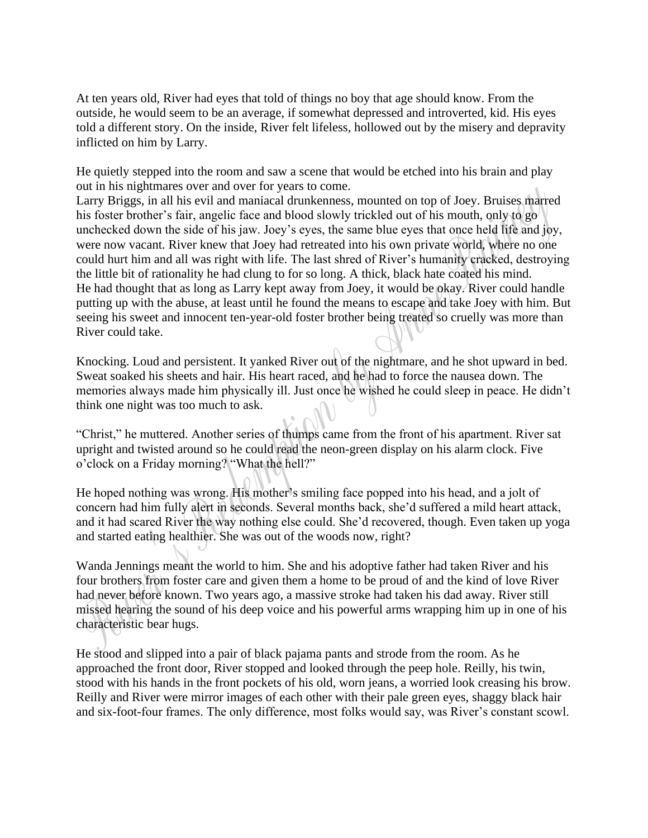At ten years old, River had eyes that told of things no boy that age should know. From the outside, he would seem to be an average, if somewhat depressed and introverted, kid. His eyes told a different story. On the inside, River felt lifeless, hollowed out by the misery and depravity inflicted on him by Larry.

He quietly stepped into the room and saw a scene that would be etched into his brain and play out in his nightmares over and over for years to come.

Larry Briggs, in all his evil and maniacal drunkenness, mounted on top of Joey. Bruises marred his foster brother's fair, angelic face and blood slowly trickled out of his mouth, only to go unchecked down the side of his jaw. Joey's eyes, the same blue eyes that once held life and joy, were now vacant. River knew that Joey had retreated into his own private world, where no one could hurt him and all was right with life. The last shred of River's humanity cracked, destroying the little bit of rationality he had clung to for so long. A thick, black hate coated his mind. He had thought that as long as Larry kept away from Joey, it would be okay. River could handle putting up with the abuse, at least until he found the means to escape and take Joey with him. But seeing his sweet and innocent ten-year-old foster brother being treated so cruelly was more than River could take.

Knocking. Loud and persistent. It yanked River out of the nightmare, and he shot upward in bed. Sweat soaked his sheets and hair. His heart raced, and he had to force the nausea down. The memories always made him physically ill. Just once he wished he could sleep in peace. He didn't think one night was too much to ask.

"Christ," he muttered. Another series of thumps came from the front of his apartment. River sat upright and twisted around so he could read the neon-green display on his alarm clock. Five o'clock on a Friday morning? "What the hell?"

He hoped nothing was wrong. His mother's smiling face popped into his head, and a jolt of concern had him fully alert in seconds. Several months back, she'd suffered a mild heart attack, and it had scared River the way nothing else could. She'd recovered, though. Even taken up yoga and started eating healthier. She was out of the woods now, right?

Wanda Jennings meant the world to him. She and his adoptive father had taken River and his four brothers from foster care and given them a home to be proud of and the kind of love River had never before known. Two years ago, a massive stroke had taken his dad away. River still missed hearing the sound of his deep voice and his powerful arms wrapping him up in one of his characteristic bear hugs.

He stood and slipped into a pair of black pajama pants and strode from the room. As he approached the front door, River stopped and looked through the peep hole. Reilly, his twin, stood with his hands in the front pockets of his old, worn jeans, a worried look creasing his brow. Reilly and River were mirror images of each other with their pale green eyes, shaggy black hair and six-foot-four frames. The only difference, most folks would say, was River's constant scowl.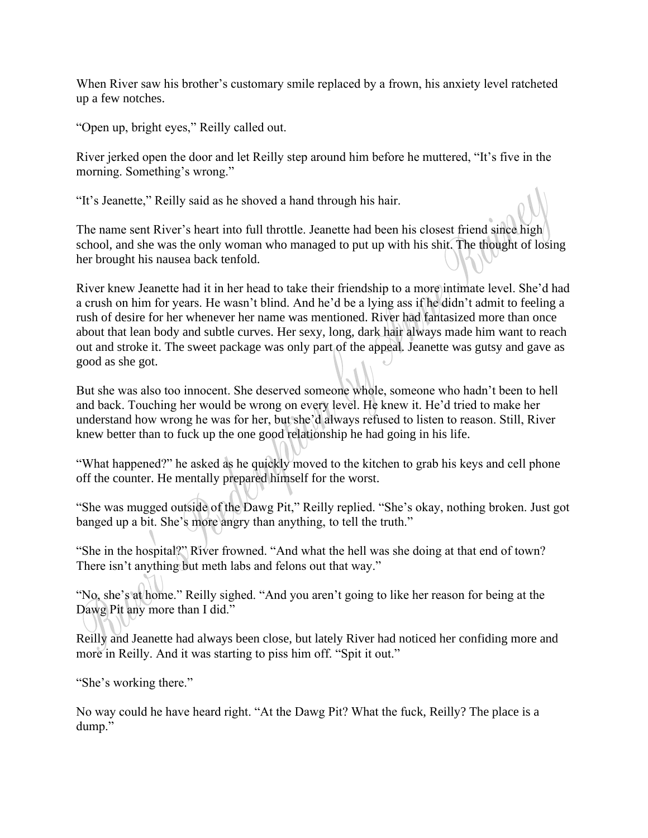When River saw his brother's customary smile replaced by a frown, his anxiety level ratcheted up a few notches.

"Open up, bright eyes," Reilly called out.

River jerked open the door and let Reilly step around him before he muttered, "It's five in the morning. Something's wrong."

"It's Jeanette," Reilly said as he shoved a hand through his hair.

The name sent River's heart into full throttle. Jeanette had been his closest friend since high school, and she was the only woman who managed to put up with his shit. The thought of losing her brought his nausea back tenfold.

River knew Jeanette had it in her head to take their friendship to a more intimate level. She'd had a crush on him for years. He wasn't blind. And he'd be a lying ass if he didn't admit to feeling a rush of desire for her whenever her name was mentioned. River had fantasized more than once about that lean body and subtle curves. Her sexy, long, dark hair always made him want to reach out and stroke it. The sweet package was only part of the appeal. Jeanette was gutsy and gave as good as she got.

But she was also too innocent. She deserved someone whole, someone who hadn't been to hell and back. Touching her would be wrong on every level. He knew it. He'd tried to make her understand how wrong he was for her, but she'd always refused to listen to reason. Still, River knew better than to fuck up the one good relationship he had going in his life.

"What happened?" he asked as he quickly moved to the kitchen to grab his keys and cell phone off the counter. He mentally prepared himself for the worst.

"She was mugged outside of the Dawg Pit," Reilly replied. "She's okay, nothing broken. Just got banged up a bit. She's more angry than anything, to tell the truth."

"She in the hospital?" River frowned. "And what the hell was she doing at that end of town? There isn't anything but meth labs and felons out that way."

"No, she's at home." Reilly sighed. "And you aren't going to like her reason for being at the Dawg Pit any more than I did."

Reilly and Jeanette had always been close, but lately River had noticed her confiding more and more in Reilly. And it was starting to piss him off. "Spit it out."

"She's working there."

No way could he have heard right. "At the Dawg Pit? What the fuck, Reilly? The place is a dump."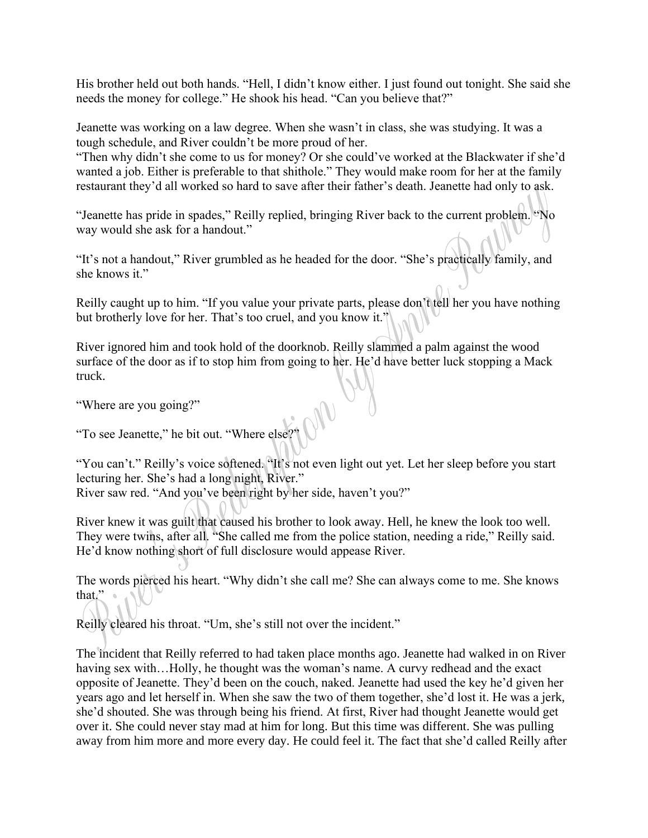His brother held out both hands. "Hell, I didn't know either. I just found out tonight. She said she needs the money for college." He shook his head. "Can you believe that?"

Jeanette was working on a law degree. When she wasn't in class, she was studying. It was a tough schedule, and River couldn't be more proud of her.

"Then why didn't she come to us for money? Or she could've worked at the Blackwater if she'd wanted a job. Either is preferable to that shithole." They would make room for her at the family restaurant they'd all worked so hard to save after their father's death. Jeanette had only to ask.

"Jeanette has pride in spades," Reilly replied, bringing River back to the current problem. "No way would she ask for a handout."

"It's not a handout," River grumbled as he headed for the door. "She's practically family, and she knows it."

Reilly caught up to him. "If you value your private parts, please don't tell her you have nothing but brotherly love for her. That's too cruel, and you know it."

River ignored him and took hold of the doorknob. Reilly slammed a palm against the wood surface of the door as if to stop him from going to her. He'd have better luck stopping a Mack truck.

"Where are you going?"

"To see Jeanette," he bit out. "Where else?"

"You can't." Reilly's voice softened. "It's not even light out yet. Let her sleep before you start lecturing her. She's had a long night, River."

River saw red. "And you've been right by her side, haven't you?"

River knew it was guilt that caused his brother to look away. Hell, he knew the look too well. They were twins, after all. "She called me from the police station, needing a ride," Reilly said. He'd know nothing short of full disclosure would appease River.

The words pierced his heart. "Why didn't she call me? She can always come to me. She knows that." $\bullet$ 

Reilly cleared his throat. "Um, she's still not over the incident."

The incident that Reilly referred to had taken place months ago. Jeanette had walked in on River having sex with...Holly, he thought was the woman's name. A curvy redhead and the exact opposite of Jeanette. They'd been on the couch, naked. Jeanette had used the key he'd given her years ago and let herself in. When she saw the two of them together, she'd lost it. He was a jerk, she'd shouted. She was through being his friend. At first, River had thought Jeanette would get over it. She could never stay mad at him for long. But this time was different. She was pulling away from him more and more every day. He could feel it. The fact that she'd called Reilly after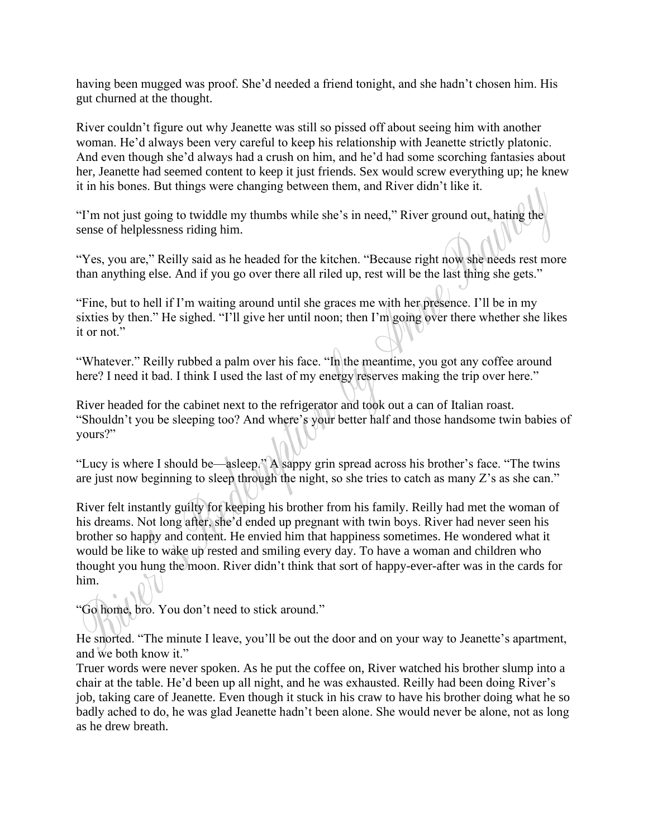having been mugged was proof. She'd needed a friend tonight, and she hadn't chosen him. His gut churned at the thought.

River couldn't figure out why Jeanette was still so pissed off about seeing him with another woman. He'd always been very careful to keep his relationship with Jeanette strictly platonic. And even though she'd always had a crush on him, and he'd had some scorching fantasies about her, Jeanette had seemed content to keep it just friends. Sex would screw everything up; he knew it in his bones. But things were changing between them, and River didn't like it.

"I'm not just going to twiddle my thumbs while she's in need," River ground out, hating the sense of helplessness riding him.

"Yes, you are," Reilly said as he headed for the kitchen. "Because right now she needs rest more than anything else. And if you go over there all riled up, rest will be the last thing she gets."

"Fine, but to hell if I'm waiting around until she graces me with her presence. I'll be in my sixties by then." He sighed. "I'll give her until noon; then I'm going over there whether she likes it or not."

"Whatever." Reilly rubbed a palm over his face. "In the meantime, you got any coffee around here? I need it bad. I think I used the last of my energy reserves making the trip over here."

River headed for the cabinet next to the refrigerator and took out a can of Italian roast. "Shouldn't you be sleeping too? And where's your better half and those handsome twin babies of yours?"

"Lucy is where I should be—asleep." A sappy grin spread across his brother's face. "The twins are just now beginning to sleep through the night, so she tries to catch as many Z's as she can."

River felt instantly guilty for keeping his brother from his family. Reilly had met the woman of his dreams. Not long after, she'd ended up pregnant with twin boys. River had never seen his brother so happy and content. He envied him that happiness sometimes. He wondered what it would be like to wake up rested and smiling every day. To have a woman and children who thought you hung the moon. River didn't think that sort of happy-ever-after was in the cards for him.

"Go home, bro. You don't need to stick around."

He snorted. "The minute I leave, you'll be out the door and on your way to Jeanette's apartment, and we both know it."

Truer words were never spoken. As he put the coffee on, River watched his brother slump into a chair at the table. He'd been up all night, and he was exhausted. Reilly had been doing River's job, taking care of Jeanette. Even though it stuck in his craw to have his brother doing what he so badly ached to do, he was glad Jeanette hadn't been alone. She would never be alone, not as long as he drew breath.